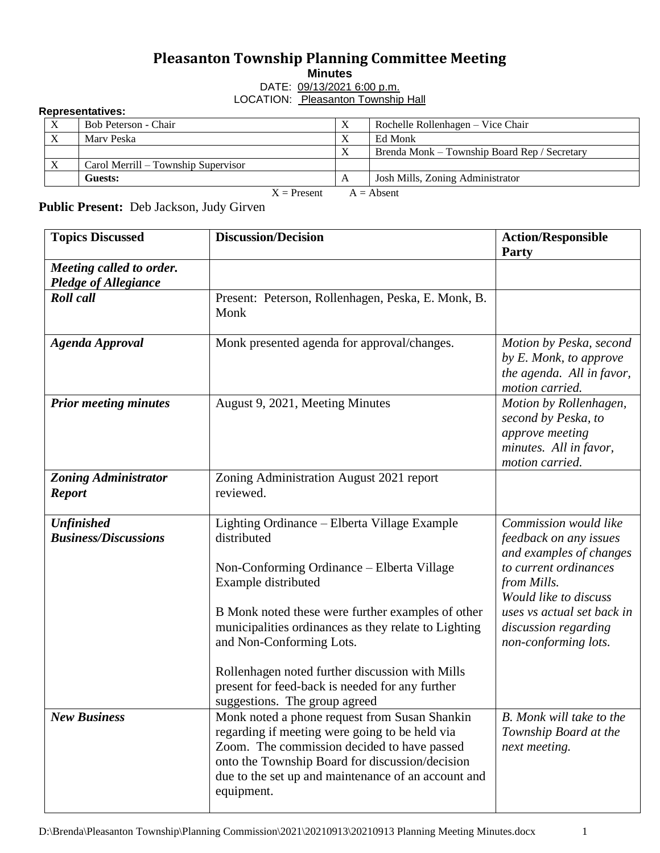## **Pleasanton Township Planning Committee Meeting**

**Minutes**

DATE: 09/13/2021 6:00 p.m. LOCATION: Pleasanton Township Hall

## **Representatives:**

| $\frac{1}{2}$                 |                                     |   |                                              |  |  |
|-------------------------------|-------------------------------------|---|----------------------------------------------|--|--|
| $\boldsymbol{\mathrm{X}}$     | Bob Peterson - Chair                |   | Rochelle Rollenhagen – Vice Chair            |  |  |
| $\boldsymbol{X}$              | Marv Peska                          | л | Ed Monk                                      |  |  |
|                               |                                     | v | Brenda Monk – Township Board Rep / Secretary |  |  |
|                               | Carol Merrill – Township Supervisor |   |                                              |  |  |
|                               | Guests:                             | A | Josh Mills, Zoning Administrator             |  |  |
| $X =$ Present<br>$A = Absent$ |                                     |   |                                              |  |  |

**Public Present:** Deb Jackson, Judy Girven

| <b>Topics Discussed</b>                                 | <b>Discussion/Decision</b>                                                                                                                                                                                                                                                                              | <b>Action/Responsible</b><br>Party                                                                                 |
|---------------------------------------------------------|---------------------------------------------------------------------------------------------------------------------------------------------------------------------------------------------------------------------------------------------------------------------------------------------------------|--------------------------------------------------------------------------------------------------------------------|
| Meeting called to order.<br><b>Pledge of Allegiance</b> |                                                                                                                                                                                                                                                                                                         |                                                                                                                    |
| <b>Roll</b> call                                        | Present: Peterson, Rollenhagen, Peska, E. Monk, B.<br>Monk                                                                                                                                                                                                                                              |                                                                                                                    |
| <b>Agenda Approval</b>                                  | Monk presented agenda for approval/changes.                                                                                                                                                                                                                                                             | Motion by Peska, second<br>by E. Monk, to approve<br>the agenda. All in favor,<br>motion carried.                  |
| <b>Prior meeting minutes</b>                            | August 9, 2021, Meeting Minutes                                                                                                                                                                                                                                                                         | Motion by Rollenhagen,<br>second by Peska, to<br>approve meeting<br>minutes. All in favor,<br>motion carried.      |
| <b>Zoning Administrator</b><br><b>Report</b>            | Zoning Administration August 2021 report<br>reviewed.                                                                                                                                                                                                                                                   |                                                                                                                    |
| <b>Unfinished</b><br><b>Business/Discussions</b>        | Lighting Ordinance - Elberta Village Example<br>distributed<br>Non-Conforming Ordinance – Elberta Village<br>Example distributed                                                                                                                                                                        | Commission would like<br>feedback on any issues<br>and examples of changes<br>to current ordinances<br>from Mills. |
|                                                         | B Monk noted these were further examples of other<br>municipalities ordinances as they relate to Lighting<br>and Non-Conforming Lots.<br>Rollenhagen noted further discussion with Mills<br>present for feed-back is needed for any further                                                             | Would like to discuss<br>uses vs actual set back in<br>discussion regarding<br>non-conforming lots.                |
| <b>New Business</b>                                     | suggestions. The group agreed<br>Monk noted a phone request from Susan Shankin<br>regarding if meeting were going to be held via<br>Zoom. The commission decided to have passed<br>onto the Township Board for discussion/decision<br>due to the set up and maintenance of an account and<br>equipment. | <b>B.</b> Monk will take to the<br>Township Board at the<br>next meeting.                                          |